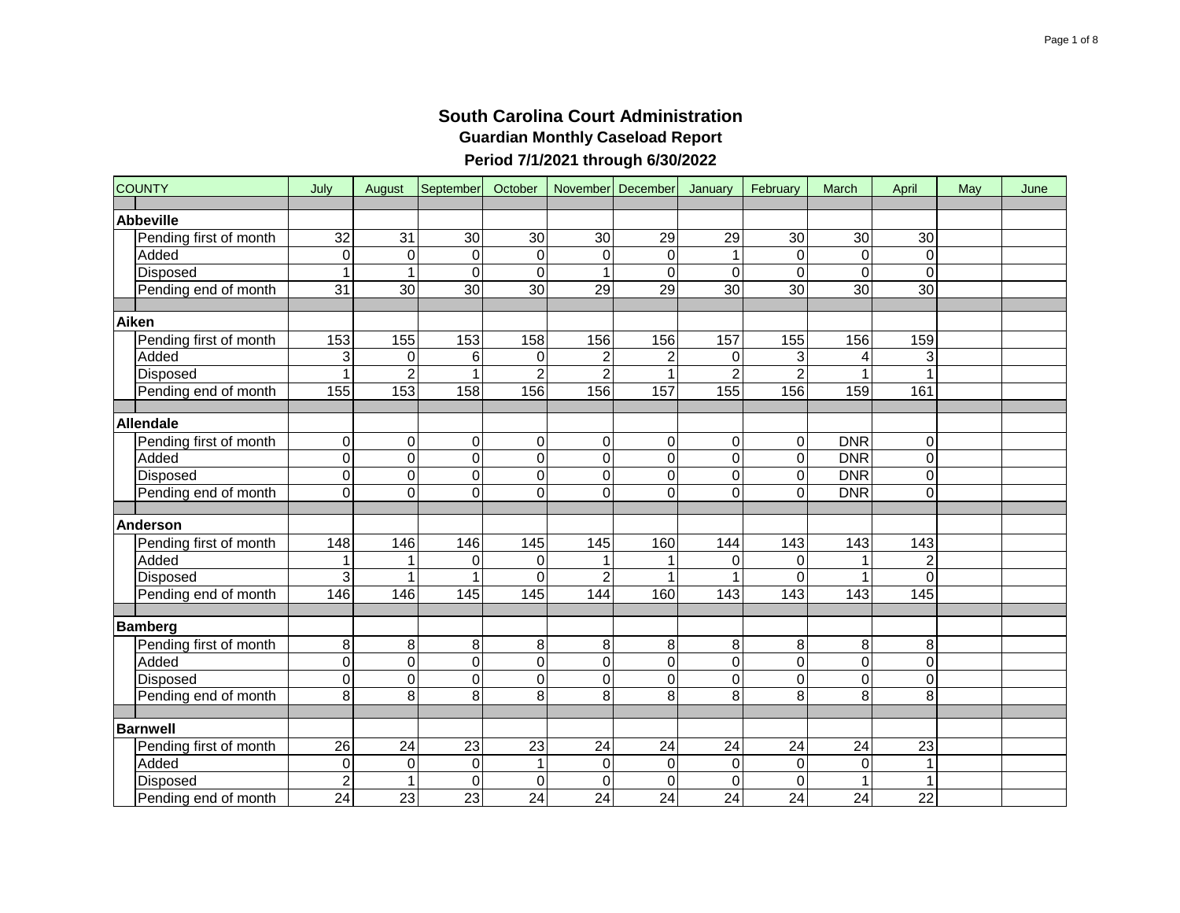| <b>COUNTY</b>          | July            | August          | September        | October         |                | November December | January         | February        | March           | April           | May | June |
|------------------------|-----------------|-----------------|------------------|-----------------|----------------|-------------------|-----------------|-----------------|-----------------|-----------------|-----|------|
| <b>Abbeville</b>       |                 |                 |                  |                 |                |                   |                 |                 |                 |                 |     |      |
| Pending first of month | 32              | 31              | 30               | 30              | 30             | 29                | 29              | 30              | 30              | 30              |     |      |
| Added                  | $\mathbf 0$     | 0               | $\mathbf 0$      | $\mathbf 0$     | $\Omega$       | $\Omega$          | 1               | $\Omega$        | $\mathbf 0$     | 0               |     |      |
| Disposed               | $\mathbf{1}$    | 1               | $\Omega$         | 0               |                | $\Omega$          | 0               | $\Omega$        | 0               | $\Omega$        |     |      |
| Pending end of month   | 31              | $\overline{30}$ | $\overline{30}$  | $\overline{30}$ | 29             | $\overline{29}$   | $\overline{30}$ | $\overline{30}$ | $\overline{30}$ | $\overline{30}$ |     |      |
|                        |                 |                 |                  |                 |                |                   |                 |                 |                 |                 |     |      |
| Aiken                  |                 |                 |                  |                 |                |                   |                 |                 |                 |                 |     |      |
| Pending first of month | 153             | 155             | 153              | 158             | 156            | 156               | 157             | 155             | 156             | 159             |     |      |
| Added                  | 3               | $\mathbf 0$     | 6                | $\mathbf 0$     | $\overline{2}$ |                   | 0               | 3               | 4               | 3               |     |      |
| Disposed               | $\mathbf{1}$    | $\overline{2}$  | 1                | $\overline{2}$  | $\overline{2}$ |                   | $\overline{2}$  | $\overline{2}$  |                 | 1               |     |      |
| Pending end of month   | 155             | 153             | 158              | 156             | 156            | 157               | 155             | 156             | 159             | 161             |     |      |
|                        |                 |                 |                  |                 |                |                   |                 |                 |                 |                 |     |      |
| Allendale              |                 |                 |                  |                 |                |                   |                 |                 |                 |                 |     |      |
| Pending first of month | $\mathbf 0$     | 0               | 0                | 0               | 0              | 0                 | 0               | 0               | <b>DNR</b>      | 0               |     |      |
| Added                  | $\overline{0}$  | $\overline{0}$  | $\mathbf 0$      | $\mathbf 0$     | 0              | $\Omega$          | $\overline{0}$  | $\overline{0}$  | <b>DNR</b>      | $\mathbf 0$     |     |      |
| Disposed               | $\overline{0}$  | $\mathsf 0$     | $\boldsymbol{0}$ | $\mathbf 0$     | $\mathbf 0$    | 0                 | 0               | $\mathbf 0$     | <b>DNR</b>      | 0               |     |      |
| Pending end of month   | $\overline{0}$  | $\overline{0}$  | $\mathbf 0$      | $\mathbf 0$     | 0              | 0                 | 0               | $\mathbf 0$     | <b>DNR</b>      | 0               |     |      |
|                        |                 |                 |                  |                 |                |                   |                 |                 |                 |                 |     |      |
| <b>Anderson</b>        |                 |                 |                  |                 |                |                   |                 |                 |                 |                 |     |      |
| Pending first of month | 148             | 146             | 146              | 145             | 145            | 160               | 144             | 143             | 143             | 143             |     |      |
| Added                  | $\mathbf 1$     | $\mathbf 1$     | 0                | 0               | $\overline{1}$ |                   | 0               | $\mathbf 0$     | 1               | $\overline{c}$  |     |      |
| Disposed               | 3               | 1               | 1                | $\mathbf 0$     | 2              |                   |                 | $\Omega$        | 1               | $\overline{0}$  |     |      |
| Pending end of month   | 146             | 146             | 145              | 145             | 144            | 160               | 143             | 143             | 143             | 145             |     |      |
| <b>Bamberg</b>         |                 |                 |                  |                 |                |                   |                 |                 |                 |                 |     |      |
| Pending first of month | 8               | 8               | 8                | 8               | 8              | 8                 | 8               | 8               | 8               | 8               |     |      |
| Added                  | $\mathbf 0$     | $\mathsf 0$     | $\mathbf 0$      | $\mathbf 0$     | 0              | 0                 | 0               | $\mathbf 0$     | $\overline{0}$  | $\mathbf 0$     |     |      |
| Disposed               | $\mathbf 0$     | 0               | $\mathbf 0$      | 0               | 0              | $\Omega$          | $\Omega$        | 0               | 0               | $\overline{0}$  |     |      |
| Pending end of month   | 8               | 8               | 8                | 8               | 8              | 8                 | 8               | 8               | 8               | 8               |     |      |
|                        |                 |                 |                  |                 |                |                   |                 |                 |                 |                 |     |      |
| <b>Barnwell</b>        |                 |                 |                  |                 |                |                   |                 |                 |                 |                 |     |      |
| Pending first of month | 26              | 24              | 23               | 23              | 24             | 24                | 24              | 24              | 24              | 23              |     |      |
| Added                  | $\mathbf 0$     | 0               | $\,0\,$          | $\mathbf 1$     | 0              | 0                 | 0               | $\mathbf 0$     | 0               | 1               |     |      |
| <b>Disposed</b>        | $\overline{2}$  | 1               | $\mathbf 0$      | $\mathbf 0$     | $\Omega$       | $\Omega$          | 0               | $\Omega$        | 1               | $\mathbf{1}$    |     |      |
| Pending end of month   | $\overline{24}$ | $\overline{23}$ | $\overline{23}$  | 24              | 24             | 24                | 24              | $\overline{24}$ | 24              | $\overline{22}$ |     |      |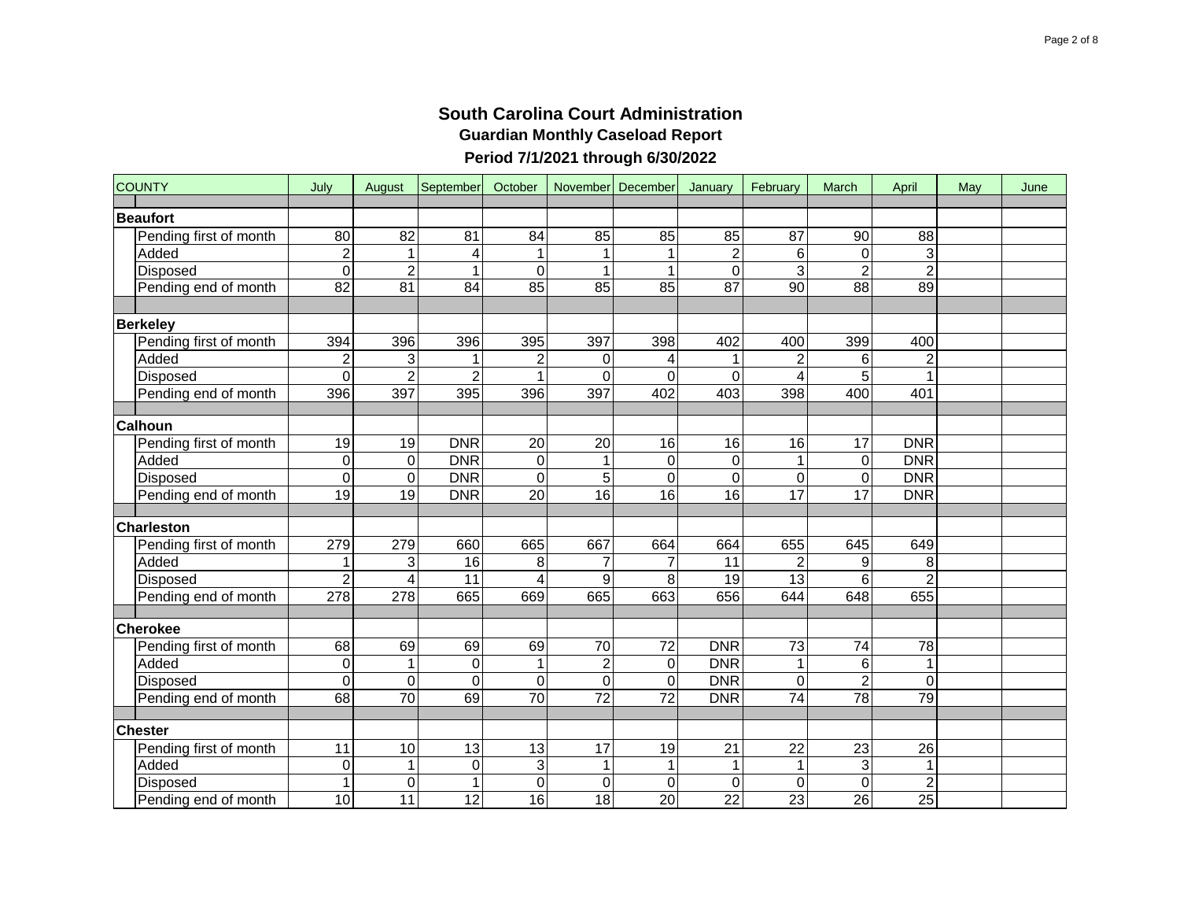| <b>COUNTY</b>                   | July                  | August              | September        | October          |                 | November December | January                       | February        | March               | April           | May | June |
|---------------------------------|-----------------------|---------------------|------------------|------------------|-----------------|-------------------|-------------------------------|-----------------|---------------------|-----------------|-----|------|
| <b>Beaufort</b>                 |                       |                     |                  |                  |                 |                   |                               |                 |                     |                 |     |      |
|                                 | $\overline{80}$       | $\overline{82}$     | 81               | 84               | 85              | 85                | 85                            | $\overline{87}$ | $\overline{90}$     | $\overline{88}$ |     |      |
| Pending first of month<br>Added | $\overline{2}$        | $\mathbf 1$         | 4                | 1                | 1               |                   |                               | 6               | 0                   | 3               |     |      |
| Disposed                        | $\mathbf 0$           | $\overline{2}$      | $\overline{1}$   | $\mathbf 0$      | 1               |                   | $\overline{c}$<br>$\mathbf 0$ | 3               | $\overline{2}$      | $\overline{2}$  |     |      |
|                                 | 82                    | 81                  | 84               | 85               | 85              | 85                | 87                            | 90              | $\overline{88}$     | 89              |     |      |
| Pending end of month            |                       |                     |                  |                  |                 |                   |                               |                 |                     |                 |     |      |
|                                 |                       |                     |                  |                  |                 |                   |                               |                 |                     |                 |     |      |
| <b>Berkeley</b>                 | 394                   | 396                 | 396              | 395              | 397             | 398               |                               | 400             | 399                 |                 |     |      |
| Pending first of month<br>Added |                       |                     |                  |                  |                 |                   | 402                           |                 |                     | 400             |     |      |
|                                 | $\mathbf 2$           | 3<br>$\overline{2}$ | $\overline{2}$   | $\overline{2}$   | 0<br>$\Omega$   |                   |                               | 2               | 6<br>$\overline{5}$ | $\overline{2}$  |     |      |
| Disposed                        | $\overline{0}$<br>396 | 397                 | 395              | 396              | 397             | $\Omega$<br>402   | $\Omega$<br>403               | 398             | 400                 | 401             |     |      |
| Pending end of month            |                       |                     |                  |                  |                 |                   |                               |                 |                     |                 |     |      |
| <b>Calhoun</b>                  |                       |                     |                  |                  |                 |                   |                               |                 |                     |                 |     |      |
| Pending first of month          | 19                    | 19                  | <b>DNR</b>       | $\overline{20}$  | 20              | 16                | 16                            | 16              | $\overline{17}$     | <b>DNR</b>      |     |      |
| Added                           | $\mathbf 0$           | $\mathbf 0$         | <b>DNR</b>       | $\overline{0}$   |                 | $\Omega$          | $\mathbf 0$                   |                 | 0                   | <b>DNR</b>      |     |      |
| Disposed                        | $\mathbf 0$           | $\mathbf 0$         | <b>DNR</b>       | 0                | 5               | $\Omega$          | 0                             | 0               | 0                   | <b>DNR</b>      |     |      |
| Pending end of month            | 19                    | 19                  | <b>DNR</b>       | $\overline{20}$  | $\overline{16}$ | $\overline{16}$   | 16                            | $\overline{17}$ | 17                  | <b>DNR</b>      |     |      |
|                                 |                       |                     |                  |                  |                 |                   |                               |                 |                     |                 |     |      |
| <b>Charleston</b>               |                       |                     |                  |                  |                 |                   |                               |                 |                     |                 |     |      |
| Pending first of month          | 279                   | 279                 | 660              | 665              | 667             | 664               | 664                           | 655             | 645                 | 649             |     |      |
| Added                           |                       | 3                   | 16               | 8                | $\overline{7}$  |                   | 11                            |                 | 9                   | 8               |     |      |
| Disposed                        | $\overline{2}$        | 4                   | 11               | $\overline{4}$   | 9               | 8                 | 19                            | $\overline{13}$ | 6                   | $\overline{2}$  |     |      |
| Pending end of month            | 278                   | $\overline{278}$    | 665              | 669              | 665             | 663               | 656                           | 644             | 648                 | 655             |     |      |
|                                 |                       |                     |                  |                  |                 |                   |                               |                 |                     |                 |     |      |
| <b>Cherokee</b>                 |                       |                     |                  |                  |                 |                   |                               |                 |                     |                 |     |      |
| Pending first of month          | 68                    | 69                  | 69               | 69               | 70              | 72                | <b>DNR</b>                    | $\overline{73}$ | 74                  | 78              |     |      |
| Added                           | $\boldsymbol{0}$      | $\mathbf{1}$        | $\boldsymbol{0}$ | $\mathbf{1}$     | $\overline{c}$  | 0                 | <b>DNR</b>                    |                 | $\,6\,$             | $\mathbf{1}$    |     |      |
| Disposed                        | $\mathbf 0$           | $\boldsymbol{0}$    | $\mathbf 0$      | $\boldsymbol{0}$ | 0               | $\Omega$          | <b>DNR</b>                    | $\Omega$        | $\overline{2}$      | 0               |     |      |
| Pending end of month            | 68                    | $\overline{70}$     | 69               | 70               | 72              | 72                | <b>DNR</b>                    | 74              | $\overline{78}$     | 79              |     |      |
|                                 |                       |                     |                  |                  |                 |                   |                               |                 |                     |                 |     |      |
| <b>Chester</b>                  |                       |                     |                  |                  |                 |                   |                               |                 |                     |                 |     |      |
| Pending first of month          | 11                    | 10                  | 13               | 13               | 17              | 19                | 21                            | 22              | 23                  | 26              |     |      |
| Added                           | $\boldsymbol{0}$      | $\mathbf{1}$        | $\mathbf 0$      | $\overline{3}$   | 1               |                   | 1                             | 1               | 3                   | 1               |     |      |
| Disposed                        | $\mathbf{1}$          | $\mathbf 0$         | $\mathbf{1}$     | $\mathbf 0$      | 0               | $\Omega$          | 0                             | $\Omega$        | $\overline{0}$      | $\overline{2}$  |     |      |
| Pending end of month            | 10                    | 11                  | 12               | 16               | 18              | 20                | 22                            | $\overline{23}$ | $\overline{26}$     | $\overline{25}$ |     |      |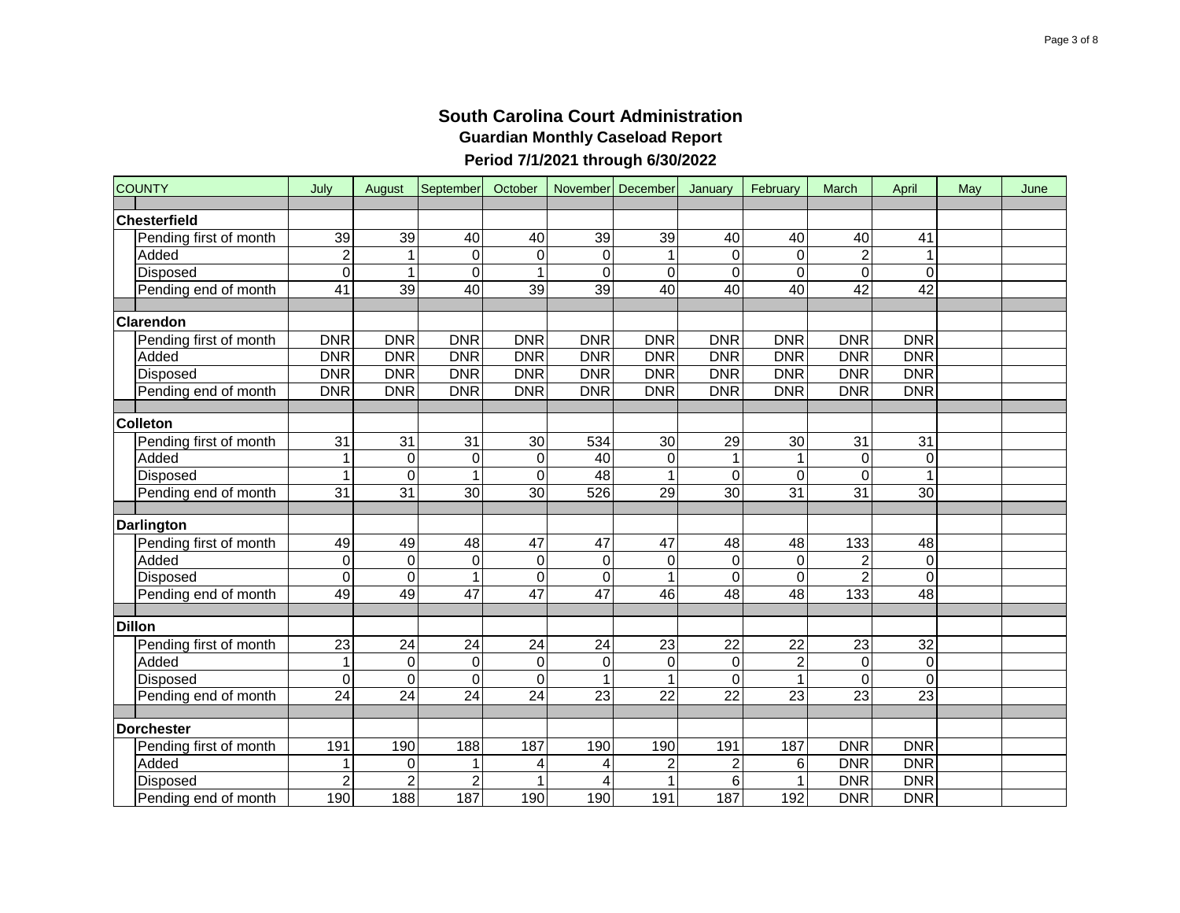| <b>COUNTY</b>          | July                    | August          | September       | October         |                 | November December | January                 | February        | March           | April           | May | June |
|------------------------|-------------------------|-----------------|-----------------|-----------------|-----------------|-------------------|-------------------------|-----------------|-----------------|-----------------|-----|------|
| Chesterfield           |                         |                 |                 |                 |                 |                   |                         |                 |                 |                 |     |      |
| Pending first of month | 39                      | 39              | 40              | 40              | 39              | 39                | 40                      | 40              | 40              | 41              |     |      |
| Added                  | $\overline{\mathbf{c}}$ | 1               | $\mathbf 0$     | $\mathbf 0$     | $\mathbf 0$     |                   | 0                       | 0               | $\overline{c}$  |                 |     |      |
| <b>Disposed</b>        | $\overline{0}$          | 1               | $\overline{0}$  |                 | $\Omega$        | $\Omega$          | $\overline{0}$          | $\overline{0}$  | $\overline{0}$  | 0               |     |      |
| Pending end of month   | 41                      | 39              | $\overline{40}$ | $\overline{39}$ | $\overline{39}$ | $\overline{40}$   | $\overline{40}$         | 40              | $\overline{42}$ | $\overline{42}$ |     |      |
|                        |                         |                 |                 |                 |                 |                   |                         |                 |                 |                 |     |      |
| <b>Clarendon</b>       |                         |                 |                 |                 |                 |                   |                         |                 |                 |                 |     |      |
| Pending first of month | <b>DNR</b>              | <b>DNR</b>      | <b>DNR</b>      | <b>DNR</b>      | <b>DNR</b>      | <b>DNR</b>        | <b>DNR</b>              | <b>DNR</b>      | <b>DNR</b>      | <b>DNR</b>      |     |      |
| Added                  | <b>DNR</b>              | <b>DNR</b>      | <b>DNR</b>      | <b>DNR</b>      | <b>DNR</b>      | <b>DNR</b>        | <b>DNR</b>              | <b>DNR</b>      | <b>DNR</b>      | <b>DNR</b>      |     |      |
| <b>Disposed</b>        | <b>DNR</b>              | <b>DNR</b>      | <b>DNR</b>      | <b>DNR</b>      | <b>DNR</b>      | <b>DNR</b>        | <b>DNR</b>              | <b>DNR</b>      | <b>DNR</b>      | <b>DNR</b>      |     |      |
| Pending end of month   | <b>DNR</b>              | <b>DNR</b>      | <b>DNR</b>      | <b>DNR</b>      | <b>DNR</b>      | <b>DNR</b>        | <b>DNR</b>              | <b>DNR</b>      | <b>DNR</b>      | <b>DNR</b>      |     |      |
|                        |                         |                 |                 |                 |                 |                   |                         |                 |                 |                 |     |      |
| <b>Colleton</b>        |                         |                 |                 |                 |                 |                   |                         |                 |                 |                 |     |      |
| Pending first of month | 31                      | 31              | 31              | 30              | 534             | 30                | 29                      | 30              | 31              | 31              |     |      |
| Added                  | $\mathbf 1$             | $\mathsf 0$     | 0               | $\mathbf 0$     | 40              | $\Omega$          |                         |                 | $\mathbf 0$     | 0               |     |      |
| Disposed               | $\overline{1}$          | $\overline{0}$  | $\overline{1}$  | $\mathbf 0$     | 48              |                   | $\mathbf 0$             | $\Omega$        | 0               |                 |     |      |
| Pending end of month   | $\overline{31}$         | $\overline{31}$ | 30              | 30              | 526             | 29                | 30                      | 31              | 31              | 30              |     |      |
|                        |                         |                 |                 |                 |                 |                   |                         |                 |                 |                 |     |      |
| <b>Darlington</b>      |                         |                 |                 |                 |                 |                   |                         |                 |                 |                 |     |      |
| Pending first of month | 49                      | 49              | 48              | 47              | 47              | 47                | 48                      | 48              | 133             | 48              |     |      |
| Added                  | $\mathbf 0$             | $\overline{0}$  | $\mathbf 0$     | $\mathbf 0$     | $\pmb{0}$       | 0                 | $\mathbf 0$             | $\mathbf 0$     | $\overline{2}$  | $\mathbf 0$     |     |      |
| Disposed               | $\overline{0}$          | $\overline{0}$  | $\overline{1}$  | $\mathbf 0$     | $\mathbf 0$     |                   | $\overline{0}$          | $\overline{0}$  | $\overline{2}$  | $\overline{0}$  |     |      |
| Pending end of month   | 49                      | 49              | $\overline{47}$ | $\overline{47}$ | 47              | 46                | 48                      | 48              | 133             | 48              |     |      |
|                        |                         |                 |                 |                 |                 |                   |                         |                 |                 |                 |     |      |
| <b>Dillon</b>          |                         |                 |                 |                 |                 |                   |                         |                 |                 |                 |     |      |
| Pending first of month | $\overline{23}$         | $\overline{24}$ | $\overline{24}$ | $\overline{24}$ | 24              | $\overline{23}$   | $\overline{22}$         | $\overline{22}$ | $\overline{23}$ | $\overline{32}$ |     |      |
| Added                  | $\mathbf{1}$            | $\pmb{0}$       | $\mathbf 0$     | $\mathbf 0$     | $\mathbf 0$     | $\Omega$          | $\mathbf 0$             | $\overline{c}$  | $\mathbf 0$     | $\overline{0}$  |     |      |
| Disposed               | $\mathbf 0$             | $\mathbf 0$     | $\mathbf 0$     | $\mathbf 0$     | 1               |                   | 0                       | $\mathbf{1}$    | 0               | $\overline{0}$  |     |      |
| Pending end of month   | $\overline{24}$         | 24              | $\overline{24}$ | $\overline{24}$ | $\overline{23}$ | $\overline{22}$   | $\overline{22}$         | $\overline{23}$ | 23              | $\overline{23}$ |     |      |
| <b>Dorchester</b>      |                         |                 |                 |                 |                 |                   |                         |                 |                 |                 |     |      |
| Pending first of month | 191                     | 190             | 188             | 187             | 190             | 190               | 191                     | 187             | <b>DNR</b>      | <b>DNR</b>      |     |      |
| Added                  | 1                       | $\mathbf 0$     | 1               | 4               | 4               | $\boldsymbol{2}$  | $\overline{\mathbf{c}}$ | 6               | <b>DNR</b>      | <b>DNR</b>      |     |      |
| Disposed               | $\overline{2}$          | $\overline{2}$  | $\overline{2}$  |                 | 4               |                   | $\overline{6}$          | $\mathbf{1}$    | <b>DNR</b>      | DNR             |     |      |
| Pending end of month   | 190                     | 188             | 187             | 190             | 190             | 191               | 187                     | 192             | <b>DNR</b>      | <b>DNR</b>      |     |      |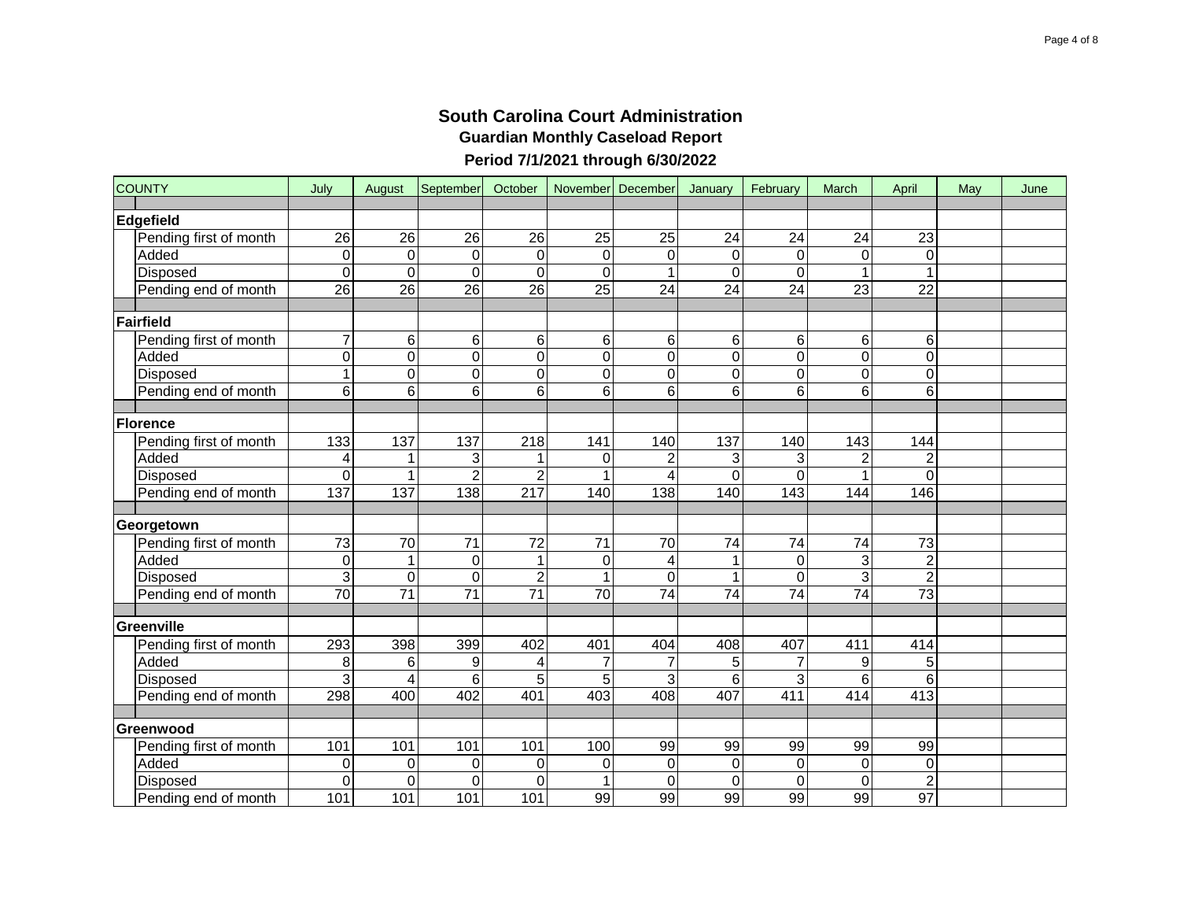| <b>COUNTY</b>          | July             | August           | September       | October          |                 | November December | January         | February        | March                   | April                   | May | June |
|------------------------|------------------|------------------|-----------------|------------------|-----------------|-------------------|-----------------|-----------------|-------------------------|-------------------------|-----|------|
| Edgefield              |                  |                  |                 |                  |                 |                   |                 |                 |                         |                         |     |      |
| Pending first of month | 26               | 26               | 26              | 26               | 25              | 25                | 24              | 24              | 24                      | 23                      |     |      |
| Added                  | $\mathbf 0$      | $\mathsf 0$      | $\mathbf 0$     | $\mathbf 0$      | $\mathbf 0$     | 0                 | 0               | $\Omega$        | 0                       | 0                       |     |      |
| Disposed               | $\overline{0}$   | $\overline{0}$   | $\mathbf 0$     | $\mathbf 0$      | $\Omega$        |                   | $\overline{0}$  | $\mathbf 0$     |                         | $\mathbf{1}$            |     |      |
| Pending end of month   | $\overline{26}$  | 26               | 26              | $\overline{26}$  | $\overline{25}$ | $\overline{24}$   | $\overline{24}$ | $\overline{24}$ | $\overline{23}$         | $\overline{22}$         |     |      |
|                        |                  |                  |                 |                  |                 |                   |                 |                 |                         |                         |     |      |
| Fairfield              |                  |                  |                 |                  |                 |                   |                 |                 |                         |                         |     |      |
| Pending first of month | $\overline{7}$   | 6                | 6               | 6                | 6               | 6                 | 6               | 6               | 6                       | 6                       |     |      |
| Added                  | $\overline{0}$   | $\overline{0}$   | $\overline{0}$  | $\overline{0}$   | 0               | 0                 | $\overline{0}$  | $\overline{0}$  | $\overline{0}$          | $\overline{0}$          |     |      |
| Disposed               | $\overline{1}$   | $\overline{0}$   | $\mathbf 0$     | $\mathbf 0$      | 0               | 0                 | 0               | $\overline{0}$  | $\overline{0}$          | $\mathbf 0$             |     |      |
| Pending end of month   | 6                | 6                | 6               | 6                | 6               | 6                 | 6               | 6               | 6                       | 6                       |     |      |
|                        |                  |                  |                 |                  |                 |                   |                 |                 |                         |                         |     |      |
| <b>Florence</b>        |                  |                  |                 |                  |                 |                   |                 |                 |                         |                         |     |      |
| Pending first of month | 133              | 137              | 137             | 218              | 141             | 140               | 137             | 140             | 143                     | 144                     |     |      |
| Added                  | 4                | 1                | 3               |                  | 0               | 2                 | 3               | 3               | $\overline{\mathbf{c}}$ | $\overline{\mathbf{c}}$ |     |      |
| Disposed               | $\overline{0}$   | 1                | $\overline{2}$  | $\overline{c}$   |                 |                   | 0               | $\overline{0}$  | $\overline{1}$          | $\overline{0}$          |     |      |
| Pending end of month   | $\overline{137}$ | $\overline{137}$ | 138             | $\overline{217}$ | 140             | 138               | 140             | 143             | 144                     | 146                     |     |      |
|                        |                  |                  |                 |                  |                 |                   |                 |                 |                         |                         |     |      |
| Georgetown             |                  |                  |                 |                  |                 |                   |                 |                 |                         |                         |     |      |
| Pending first of month | $\overline{73}$  | $\overline{70}$  | $\overline{71}$ | $\overline{72}$  | 71              | 70                | 74              | 74              | 74                      | $\overline{73}$         |     |      |
| Added                  | $\mathbf 0$      | $\mathbf{1}$     | $\mathbf 0$     | $\mathbf{1}$     | $\pmb{0}$       | 4                 | 1               | $\mathbf 0$     | 3                       | $\overline{2}$          |     |      |
| Disposed               | $\overline{3}$   | $\mathsf 0$      | $\mathbf 0$     | $\overline{c}$   | 1               | $\Omega$          | 1               | $\overline{0}$  | $\overline{3}$          | $\overline{2}$          |     |      |
| Pending end of month   | $\overline{70}$  | $\overline{71}$  | $\overline{71}$ | 71               | 70              | 74                | 74              | 74              | 74                      | $\overline{73}$         |     |      |
| Greenville             |                  |                  |                 |                  |                 |                   |                 |                 |                         |                         |     |      |
| Pending first of month | 293              | 398              | 399             | 402              | 401             | 404               | 408             | 407             | 411                     | 414                     |     |      |
| Added                  | 8                | 6                | 9               | 4                | 7               |                   | 5               | 7               | 9                       | 5                       |     |      |
| Disposed               | 3                | 4                | 6               | 5                | 5               | 3                 | 6               | 3               | 6                       | 6                       |     |      |
| Pending end of month   | 298              | 400              | 402             | 401              | 403             | 408               | 407             | 411             | 414                     | 413                     |     |      |
|                        |                  |                  |                 |                  |                 |                   |                 |                 |                         |                         |     |      |
| Greenwood              |                  |                  |                 |                  |                 |                   |                 |                 |                         |                         |     |      |
| Pending first of month | 101              | 101              | 101             | 101              | 100             | 99                | 99              | 99              | 99                      | 99                      |     |      |
| Added                  | 0                | 0                | 0               | 0                | $\mathbf 0$     | 0                 | 0               | 0               | 0                       | 0                       |     |      |
| Disposed               | $\overline{0}$   | 0                | $\Omega$        | $\Omega$         | 1               | $\Omega$          | 0               | $\Omega$        | 0                       | $\overline{2}$          |     |      |
| Pending end of month   | 101              | 101              | 101             | 101              | 99              | $\overline{99}$   | 99              | 99              | 99                      | 97                      |     |      |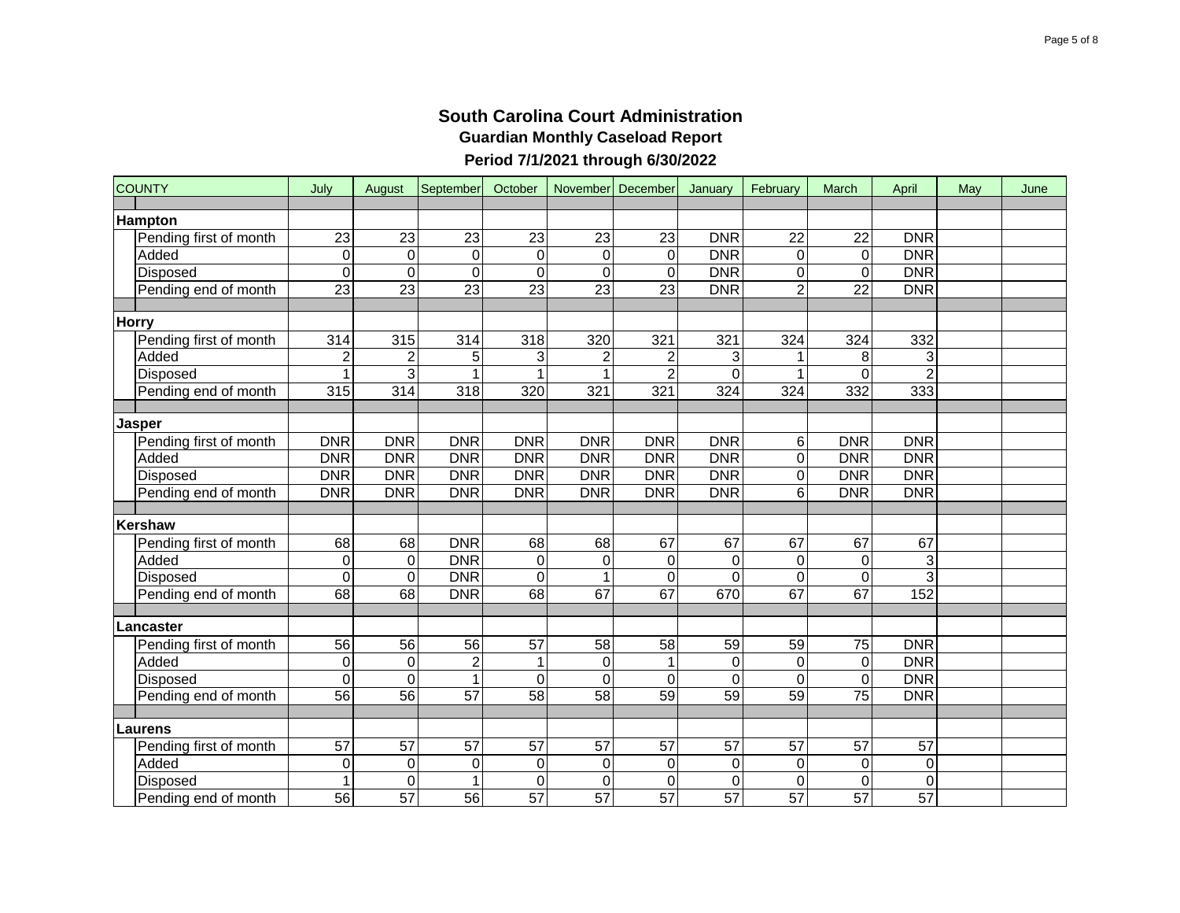| <b>COUNTY</b>          | July                           | August                            | September                       | October                        |                 | November December | January         | February                          | March           | April           | May | June |
|------------------------|--------------------------------|-----------------------------------|---------------------------------|--------------------------------|-----------------|-------------------|-----------------|-----------------------------------|-----------------|-----------------|-----|------|
| <b>Hampton</b>         |                                |                                   |                                 |                                |                 |                   |                 |                                   |                 |                 |     |      |
| Pending first of month | 23                             | 23                                | 23                              | 23                             | 23              | 23                | <b>DNR</b>      | 22                                | 22              | <b>DNR</b>      |     |      |
| Added                  | $\mathbf 0$                    | $\mathbf 0$                       | $\mathbf 0$                     | $\Omega$                       | $\Omega$        | $\Omega$          | <b>DNR</b>      | $\Omega$                          | $\mathbf 0$     | <b>DNR</b>      |     |      |
| Disposed               | $\overline{0}$                 | $\mathsf 0$                       | $\mathbf 0$                     | 0                              | $\mathbf 0$     | 0                 | <b>DNR</b>      | $\mathsf 0$                       | 0               | DNR             |     |      |
| Pending end of month   | $\overline{23}$                | 23                                | $\overline{23}$                 | $\overline{23}$                | $\overline{23}$ | $\overline{23}$   | <b>DNR</b>      | $\overline{2}$                    | $\overline{22}$ | <b>DNR</b>      |     |      |
|                        |                                |                                   |                                 |                                |                 |                   |                 |                                   |                 |                 |     |      |
| Horry                  |                                |                                   |                                 |                                |                 |                   |                 |                                   |                 |                 |     |      |
| Pending first of month | $\overline{3}14$               | 315                               | 314                             | 318                            | 320             | 321               | 321             | 324                               | 324             | 332             |     |      |
| Added                  | $\overline{c}$                 | $\overline{2}$                    | 5                               | 3                              |                 |                   | 3               |                                   | 8               | 3               |     |      |
| Disposed               | $\mathbf{1}$                   | $\overline{3}$                    |                                 |                                |                 |                   | 0               |                                   | 0               | $\overline{2}$  |     |      |
| Pending end of month   | 315                            | 314                               | 318                             | 320                            | 321             | 321               | 324             | 324                               | 332             | 333             |     |      |
|                        |                                |                                   |                                 |                                |                 |                   |                 |                                   |                 |                 |     |      |
| Jasper                 |                                |                                   |                                 |                                |                 |                   |                 |                                   |                 |                 |     |      |
| Pending first of month | <b>DNR</b>                     | <b>DNR</b>                        | <b>DNR</b>                      | <b>DNR</b>                     | <b>DNR</b>      | <b>DNR</b>        | <b>DNR</b>      | 6                                 | <b>DNR</b>      | <b>DNR</b>      |     |      |
| Added                  | <b>DNR</b>                     | <b>DNR</b>                        | <b>DNR</b>                      | <b>DNR</b>                     | <b>DNR</b>      | <b>DNR</b>        | <b>DNR</b>      | $\mathbf 0$                       | <b>DNR</b>      | <b>DNR</b>      |     |      |
| Disposed               | <b>DNR</b>                     | <b>DNR</b>                        | <b>DNR</b>                      | <b>DNR</b>                     | <b>DNR</b>      | <b>DNR</b>        | <b>DNR</b>      | $\mathbf 0$                       | <b>DNR</b>      | <b>DNR</b>      |     |      |
| Pending end of month   | <b>DNR</b>                     | <b>DNR</b>                        | <b>DNR</b>                      | <b>DNR</b>                     | <b>DNR</b>      | <b>DNR</b>        | <b>DNR</b>      | 6                                 | <b>DNR</b>      | <b>DNR</b>      |     |      |
|                        |                                |                                   |                                 |                                |                 |                   |                 |                                   |                 |                 |     |      |
| Kershaw                |                                |                                   |                                 |                                |                 |                   |                 |                                   |                 |                 |     |      |
| Pending first of month | 68                             | 68                                | <b>DNR</b>                      | 68                             | 68              | 67                | 67              | 67                                | 67              | 67              |     |      |
| Added                  | $\mathbf 0$                    | $\pmb{0}$                         | <b>DNR</b>                      | $\mathbf 0$                    | $\mathbf 0$     | 0                 | 0               | $\mathbf 0$                       | $\mathsf 0$     | 3               |     |      |
| Disposed               | $\overline{0}$                 | $\mathbf 0$                       | <b>DNR</b>                      | $\mathbf 0$                    |                 | $\Omega$          | $\Omega$        | $\overline{0}$                    | $\mathbf 0$     | $\overline{3}$  |     |      |
| Pending end of month   | 68                             | 68                                | <b>DNR</b>                      | 68                             | 67              | 67                | 670             | 67                                | 67              | 152             |     |      |
|                        |                                |                                   |                                 |                                |                 |                   |                 |                                   |                 |                 |     |      |
| Lancaster              |                                |                                   |                                 |                                |                 |                   |                 |                                   |                 |                 |     |      |
| Pending first of month | $\overline{56}$                | 56                                | 56                              | 57                             | $\overline{58}$ | 58                | 59              | 59                                | $\overline{75}$ | <b>DNR</b>      |     |      |
| Added                  | $\mathbf 0$                    | $\boldsymbol{0}$                  | $\overline{c}$                  |                                | $\mathbf 0$     |                   | $\mathsf 0$     | 0                                 | 0               | <b>DNR</b>      |     |      |
| Disposed               | $\mathbf 0$<br>$\overline{56}$ | $\overline{0}$<br>$\overline{56}$ | $\mathbf{1}$<br>$\overline{57}$ | $\mathbf 0$<br>$\overline{58}$ | $\mathbf 0$     | $\Omega$          | 0               | $\overline{0}$<br>$\overline{59}$ | 0               | <b>DNR</b>      |     |      |
| Pending end of month   |                                |                                   |                                 |                                | 58              | 59                | 59              |                                   | 75              | <b>DNR</b>      |     |      |
| Laurens                |                                |                                   |                                 |                                |                 |                   |                 |                                   |                 |                 |     |      |
| Pending first of month | 57                             | 57                                | 57                              | 57                             | 57              | 57                | 57              | 57                                | 57              | 57              |     |      |
| Added                  | $\mathbf 0$                    | $\boldsymbol{0}$                  | $\boldsymbol{0}$                | $\boldsymbol{0}$               | 0               | 0                 | 0               | 0                                 | $\mathsf 0$     | 0               |     |      |
| Disposed               | $\mathbf{1}$                   | $\mathbf 0$                       | 1                               | $\mathbf 0$                    | $\mathbf 0$     | $\Omega$          | $\Omega$        | $\Omega$                          | 0               | $\overline{0}$  |     |      |
| Pending end of month   | $\overline{56}$                | 57                                | 56                              | $\overline{57}$                | $\overline{57}$ | $\overline{57}$   | $\overline{57}$ | $\overline{57}$                   | $\overline{57}$ | $\overline{57}$ |     |      |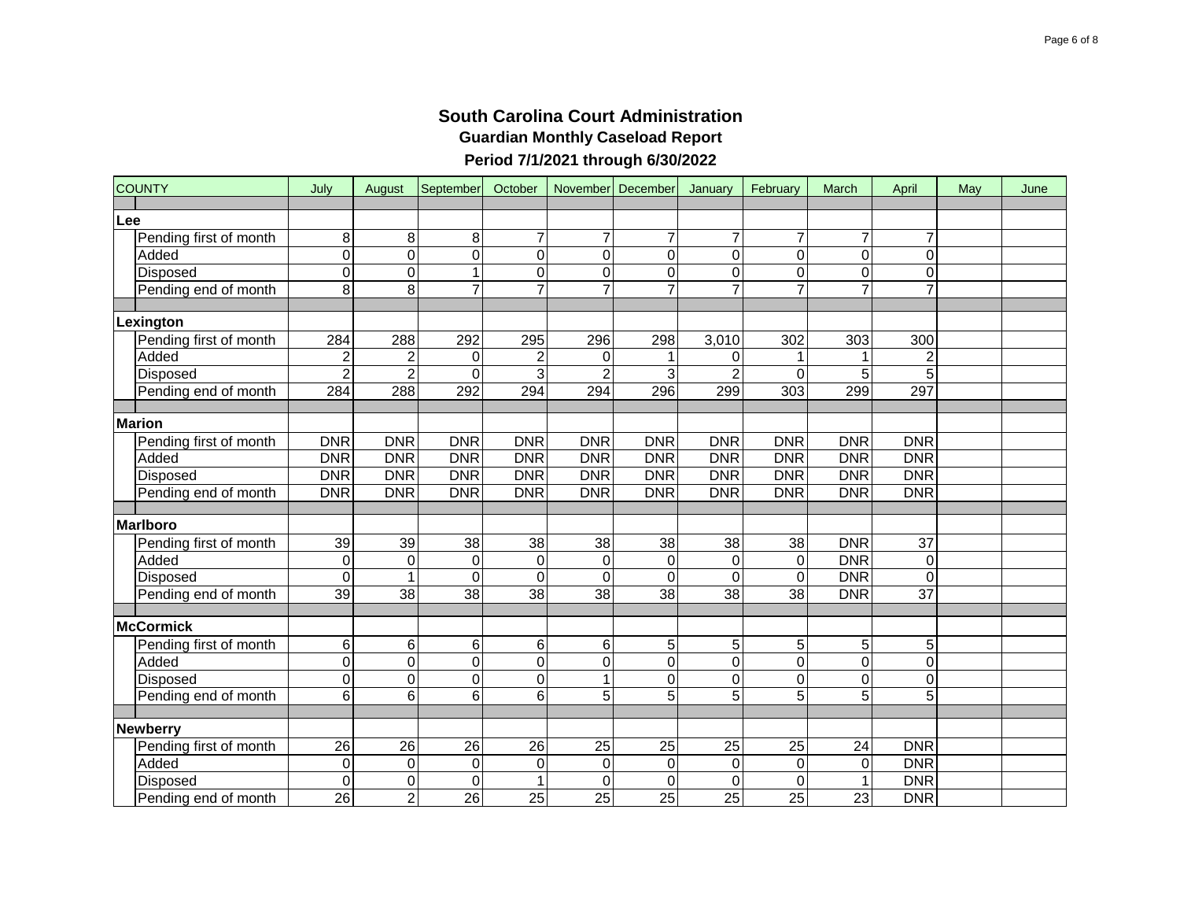|     | <b>COUNTY</b>          | July            | August          | September        | October          |                  | November December | January        | February        | March          | April           | May | June |
|-----|------------------------|-----------------|-----------------|------------------|------------------|------------------|-------------------|----------------|-----------------|----------------|-----------------|-----|------|
| Lee |                        |                 |                 |                  |                  |                  |                   |                |                 |                |                 |     |      |
|     | Pending first of month | 8               | 8               | 8                | $\overline{7}$   | $\overline{7}$   | 7                 | $\overline{7}$ | $\overline{7}$  | $\overline{7}$ | $\overline{7}$  |     |      |
|     | Added                  | $\mathbf 0$     | 0               | $\mathbf 0$      | $\mathbf 0$      | $\mathbf 0$      | 0                 | 0              | $\overline{0}$  | 0              | 0               |     |      |
|     | Disposed               | $\overline{0}$  | 0               | 1                | $\mathbf 0$      | $\mathbf 0$      | 0                 | 0              | $\overline{0}$  | 0              | 0               |     |      |
|     | Pending end of month   | $\overline{8}$  | $\overline{8}$  | $\overline{7}$   | $\overline{7}$   |                  |                   |                | $\overline{7}$  | $\overline{7}$ | $\overline{7}$  |     |      |
|     |                        |                 |                 |                  |                  |                  |                   |                |                 |                |                 |     |      |
|     | Lexington              |                 |                 |                  |                  |                  |                   |                |                 |                |                 |     |      |
|     | Pending first of month | 284             | 288             | 292              | 295              | 296              | 298               | 3,010          | 302             | 303            | 300             |     |      |
|     | Added                  | $\overline{c}$  | $\overline{c}$  | 0                | $\overline{c}$   | 0                |                   | 0              |                 |                | $\overline{c}$  |     |      |
|     | Disposed               | $\overline{2}$  | $\overline{2}$  | $\Omega$         | $\overline{3}$   | 2                | 3                 | $\overline{2}$ | 0               | 5              | $\overline{5}$  |     |      |
|     | Pending end of month   | 284             | 288             | 292              | 294              | 294              | 296               | 299            | 303             | 299            | 297             |     |      |
|     |                        |                 |                 |                  |                  |                  |                   |                |                 |                |                 |     |      |
|     | <b>Marion</b>          |                 |                 |                  |                  |                  |                   |                |                 |                |                 |     |      |
|     | Pending first of month | <b>DNR</b>      | <b>DNR</b>      | <b>DNR</b>       | <b>DNR</b>       | <b>DNR</b>       | <b>DNR</b>        | <b>DNR</b>     | <b>DNR</b>      | <b>DNR</b>     | <b>DNR</b>      |     |      |
|     | Added                  | <b>DNR</b>      | <b>DNR</b>      | <b>DNR</b>       | <b>DNR</b>       | DNR              | <b>DNR</b>        | <b>DNR</b>     | <b>DNR</b>      | <b>DNR</b>     | <b>DNR</b>      |     |      |
|     | Disposed               | <b>DNR</b>      | <b>DNR</b>      | <b>DNR</b>       | <b>DNR</b>       | <b>DNR</b>       | <b>DNR</b>        | <b>DNR</b>     | <b>DNR</b>      | <b>DNR</b>     | <b>DNR</b>      |     |      |
|     | Pending end of month   | <b>DNR</b>      | <b>DNR</b>      | <b>DNR</b>       | <b>DNR</b>       | <b>DNR</b>       | <b>DNR</b>        | <b>DNR</b>     | <b>DNR</b>      | <b>DNR</b>     | <b>DNR</b>      |     |      |
|     |                        |                 |                 |                  |                  |                  |                   |                |                 |                |                 |     |      |
|     | Marlboro               |                 |                 |                  |                  |                  |                   |                |                 |                |                 |     |      |
|     | Pending first of month | 39              | 39              | $\overline{38}$  | $\overline{38}$  | 38               | $\overline{38}$   | 38             | 38              | <b>DNR</b>     | $\overline{37}$ |     |      |
|     | Added                  | $\mathbf 0$     | $\pmb{0}$       | $\mathbf 0$      | $\boldsymbol{0}$ | $\boldsymbol{0}$ | $\mathbf 0$       | $\pmb{0}$      | $\mathbf 0$     | <b>DNR</b>     | 0               |     |      |
|     | Disposed               | $\mathbf 0$     | $\mathbf{1}$    | $\mathbf 0$      | $\mathbf 0$      | $\mathbf 0$      | $\Omega$          | 0              | $\mathbf 0$     | <b>DNR</b>     | $\overline{0}$  |     |      |
|     | Pending end of month   | 39              | $\overline{38}$ | $\overline{38}$  | $\overline{38}$  | 38               | 38                | 38             | 38              | <b>DNR</b>     | $\overline{37}$ |     |      |
|     |                        |                 |                 |                  |                  |                  |                   |                |                 |                |                 |     |      |
|     | McCormick              |                 |                 |                  |                  |                  |                   |                |                 |                |                 |     |      |
|     | Pending first of month | $\,6$           | 6               | 6                | 6                | 6                | 5                 | 5              | 5               | 5              | 5               |     |      |
|     | Added                  | $\mathbf 0$     | $\overline{0}$  | $\mathbf 0$      | $\mathbf 0$      | $\mathbf 0$      | 0                 | 0              | $\overline{0}$  | $\overline{0}$ | $\overline{0}$  |     |      |
|     | Disposed               | $\mathbf 0$     | $\overline{0}$  | $\mathbf 0$      | $\mathbf 0$      | 1                | 0                 | 0              | $\overline{0}$  | 0              | $\overline{0}$  |     |      |
|     | Pending end of month   | $\overline{6}$  | $\overline{6}$  | 6                | 6                | 5                | 5                 | $\overline{5}$ | $\overline{5}$  | $\overline{5}$ | 5               |     |      |
|     | <b>Newberry</b>        |                 |                 |                  |                  |                  |                   |                |                 |                |                 |     |      |
|     | Pending first of month | 26              | 26              | 26               | 26               | 25               | 25                | 25             | 25              | 24             | <b>DNR</b>      |     |      |
|     | Added                  | $\mathbf 0$     | $\pmb{0}$       | $\boldsymbol{0}$ | $\boldsymbol{0}$ | $\pmb{0}$        | 0                 | 0              | $\mathbf 0$     | 0              | <b>DNR</b>      |     |      |
|     | Disposed               | $\mathbf 0$     | 0               | $\mathbf 0$      | 1                | 0                | $\Omega$          | $\Omega$       | $\Omega$        | 1              | <b>DNR</b>      |     |      |
|     | Pending end of month   | $\overline{26}$ | $\overline{2}$  | $\overline{26}$  | 25               | 25               | $\overline{25}$   | 25             | $\overline{25}$ | 23             | <b>DNR</b>      |     |      |
|     |                        |                 |                 |                  |                  |                  |                   |                |                 |                |                 |     |      |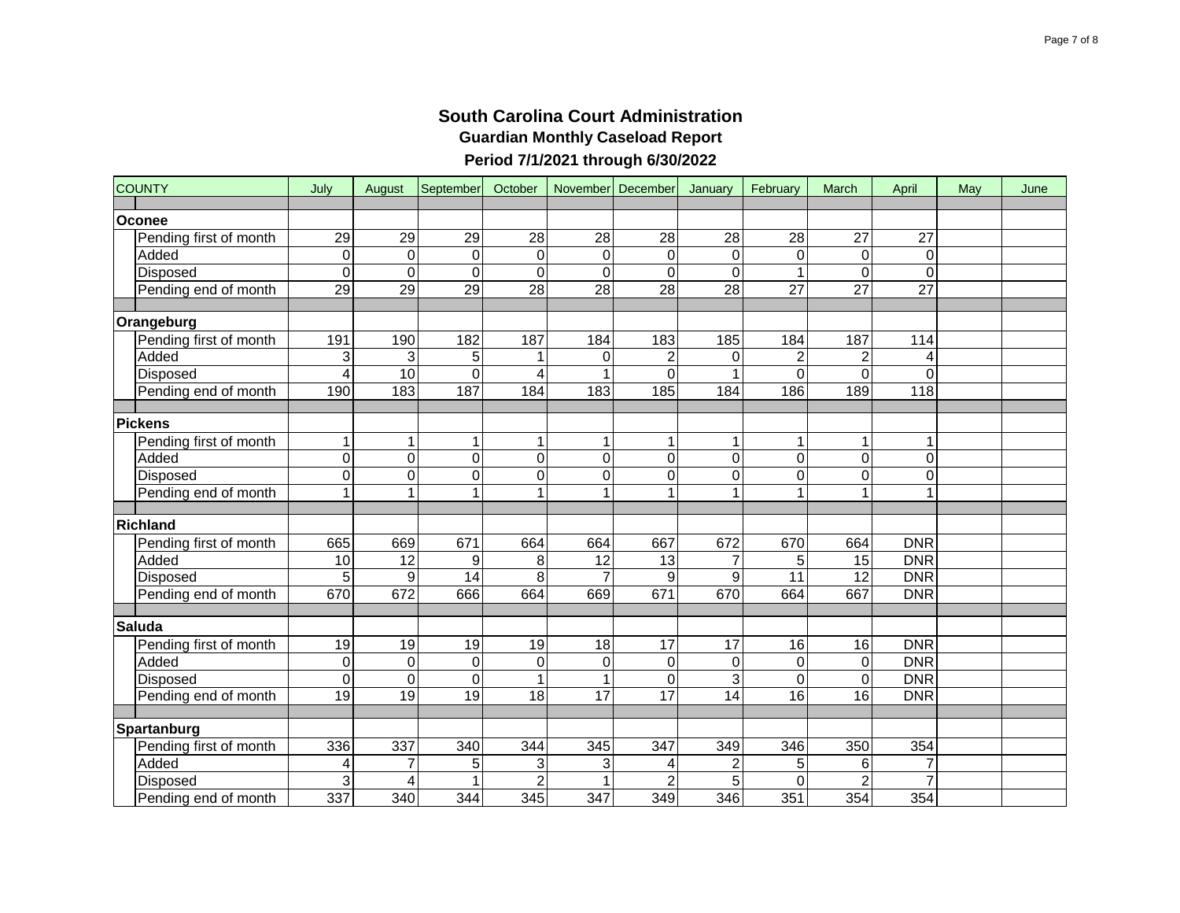| <b>COUNTY</b>          | July            | August           | September       | October         |                 | November December | January          | February        | March           | April           | May | June |
|------------------------|-----------------|------------------|-----------------|-----------------|-----------------|-------------------|------------------|-----------------|-----------------|-----------------|-----|------|
| <b>Oconee</b>          |                 |                  |                 |                 |                 |                   |                  |                 |                 |                 |     |      |
| Pending first of month | 29              | 29               | 29              | 28              | 28              | 28                | 28               | 28              | 27              | 27              |     |      |
| Added                  | $\mathbf 0$     | $\mathbf 0$      | $\mathbf 0$     | $\mathbf 0$     | $\mathbf 0$     | $\Omega$          | 0                | 0               | $\mathbf 0$     | 0               |     |      |
| Disposed               | $\overline{0}$  | $\overline{0}$   | $\Omega$        | $\mathbf 0$     | $\mathbf 0$     | 0                 | 0                |                 | 0               | $\Omega$        |     |      |
| Pending end of month   | 29              | 29               | $\overline{29}$ | 28              | $\overline{28}$ | $\overline{28}$   | $\overline{28}$  | $\overline{27}$ | $\overline{27}$ | $\overline{27}$ |     |      |
|                        |                 |                  |                 |                 |                 |                   |                  |                 |                 |                 |     |      |
| Orangeburg             |                 |                  |                 |                 |                 |                   |                  |                 |                 |                 |     |      |
| Pending first of month | 191             | 190              | 182             | 187             | 184             | 183               | 185              | 184             | 187             | 114             |     |      |
| Added                  | 3               | 3                | 5               |                 | 0               |                   | 0                | $\overline{c}$  | $\mathbf 2$     | 4               |     |      |
| Disposed               | $\overline{4}$  | 10               | $\overline{0}$  | 4               |                 | $\Omega$          |                  | $\overline{0}$  | $\overline{0}$  | $\overline{0}$  |     |      |
| Pending end of month   | 190             | 183              | 187             | 184             | 183             | 185               | 184              | 186             | 189             | 118             |     |      |
|                        |                 |                  |                 |                 |                 |                   |                  |                 |                 |                 |     |      |
| <b>Pickens</b>         |                 |                  |                 |                 |                 |                   |                  |                 |                 |                 |     |      |
| Pending first of month | $\mathbf 1$     | 1                | 1               |                 |                 |                   |                  | 1               |                 | 1               |     |      |
| Added                  | $\overline{0}$  | $\overline{0}$   | $\mathbf 0$     | $\mathbf 0$     | $\mathbf 0$     | 0                 | $\mathbf 0$      | $\mathbf 0$     | $\overline{0}$  | $\mathbf 0$     |     |      |
| Disposed               | $\overline{0}$  | 0                | $\mathbf 0$     | $\mathbf 0$     | $\mathbf 0$     | 0                 | $\mathbf 0$      | $\overline{0}$  | 0               | $\mathbf 0$     |     |      |
| Pending end of month   | $\overline{1}$  | $\overline{1}$   | $\overline{1}$  |                 | 1               |                   |                  | $\mathbf{1}$    | 1               | 1               |     |      |
|                        |                 |                  |                 |                 |                 |                   |                  |                 |                 |                 |     |      |
| Richland               |                 |                  |                 |                 |                 |                   |                  |                 |                 |                 |     |      |
| Pending first of month | 665             | 669              | 671             | 664             | 664             | 667               | 672              | 670             | 664             | <b>DNR</b>      |     |      |
| Added                  | 10              | $\overline{12}$  | 9               | 8               | 12              | 13                | $\overline{7}$   | 5               | $\overline{15}$ | <b>DNR</b>      |     |      |
| Disposed               | 5               | $\boldsymbol{9}$ | 14              | 8               | $\overline{7}$  | 9                 | 9                | 11              | $\overline{12}$ | <b>DNR</b>      |     |      |
| Pending end of month   | 670             | 672              | 666             | 664             | 669             | 671               | 670              | 664             | 667             | <b>DNR</b>      |     |      |
| <b>Saluda</b>          |                 |                  |                 |                 |                 |                   |                  |                 |                 |                 |     |      |
| Pending first of month | 19              | 19               | 19              | 19              | 18              | 17                | 17               | 16              | 16              | <b>DNR</b>      |     |      |
| Added                  | $\mathbf 0$     | $\mathbf 0$      | $\mathbf 0$     | $\mathbf 0$     | 0               | 0                 | 0                | 0               | 0               | <b>DNR</b>      |     |      |
| Disposed               | $\mathbf 0$     | $\overline{0}$   | $\mathbf 0$     | 1               | 1               | $\Omega$          | 3                | $\overline{0}$  | 0               | <b>DNR</b>      |     |      |
| Pending end of month   | $\overline{19}$ | $\overline{19}$  | $\overline{19}$ | $\overline{18}$ | $\overline{17}$ | $\overline{17}$   | $\overline{14}$  | $\overline{16}$ | $\overline{16}$ | <b>DNR</b>      |     |      |
|                        |                 |                  |                 |                 |                 |                   |                  |                 |                 |                 |     |      |
| <b>Spartanburg</b>     |                 |                  |                 |                 |                 |                   |                  |                 |                 |                 |     |      |
| Pending first of month | 336             | 337              | 340             | 344             | 345             | 347               | 349              | 346             | 350             | 354             |     |      |
| Added                  | 4               | 7                | 5               | 3               | 3               | 4                 | $\boldsymbol{2}$ | 5               | 6               | $\overline{7}$  |     |      |
| Disposed               | 3               | 4                |                 | $\overline{2}$  |                 |                   | 5                | $\Omega$        | $\overline{2}$  | 7               |     |      |
| Pending end of month   | 337             | 340              | 344             | 345             | 347             | 349               | 346              | 351             | 354             | 354             |     |      |